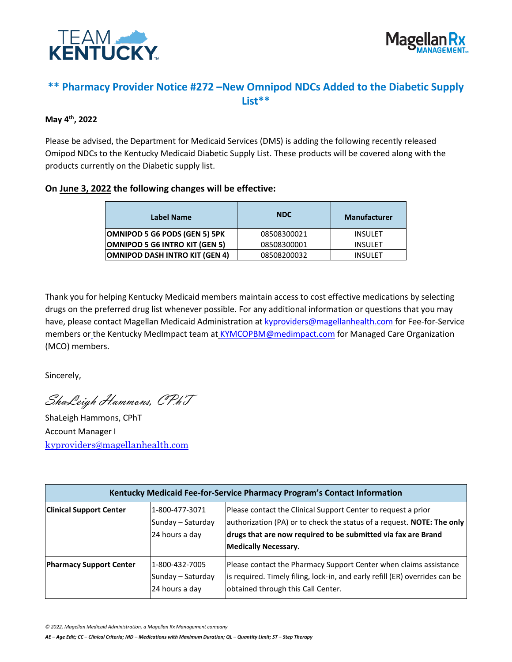



## **\*\* Pharmacy Provider Notice #272 –New Omnipod NDCs Added to the Diabetic Supply List\*\***

## **May 4 th, 2022**

Please be advised, the Department for Medicaid Services (DMS) is adding the following recently released Omipod NDCs to the Kentucky Medicaid Diabetic Supply List. These products will be covered along with the products currently on the Diabetic supply list.

## **On June 3, 2022 the following changes will be effective:**

| Label Name                     | <b>NDC</b>  | <b>Manufacturer</b> |
|--------------------------------|-------------|---------------------|
| OMNIPOD 5 G6 PODS (GEN 5) 5PK  | 08508300021 | <b>INSULET</b>      |
| OMNIPOD 5 G6 INTRO KIT (GEN 5) | 08508300001 | <b>INSULET</b>      |
| OMNIPOD DASH INTRO KIT (GEN 4) | 08508200032 | <b>INSULET</b>      |

Thank you for helping Kentucky Medicaid members maintain access to cost effective medications by selecting drugs on the preferred drug list whenever possible. For any additional information or questions that you may have, please contact Magellan Medicaid Administration a[t kyproviders@magellanhealth.com](mailto:kyproviders@magellanhealth.com) for Fee-for-Service members or the Kentucky MedImpact team at [KYMCOPBM@medimpact.com](mailto:KYMCOPBM@medimpact.com) for Managed Care Organization (MCO) members.

Sincerely,

ShaLeigh Hammons, CPhT

ShaLeigh Hammons, CPhT Account Manager I [kyproviders@magellanhealth.com](mailto:kyproviders@magellanhealth.com)

| Kentucky Medicaid Fee-for-Service Pharmacy Program's Contact Information |                                                       |                                                                                                                                                                                                                                         |
|--------------------------------------------------------------------------|-------------------------------------------------------|-----------------------------------------------------------------------------------------------------------------------------------------------------------------------------------------------------------------------------------------|
| <b>Clinical Support Center</b>                                           | 1-800-477-3071<br>Sunday - Saturday<br>24 hours a day | Please contact the Clinical Support Center to request a prior<br>authorization (PA) or to check the status of a request. NOTE: The only<br>drugs that are now required to be submitted via fax are Brand<br><b>Medically Necessary.</b> |
| <b>Pharmacy Support Center</b>                                           | 1-800-432-7005<br>Sunday - Saturday<br>24 hours a day | Please contact the Pharmacy Support Center when claims assistance<br>is required. Timely filing, lock-in, and early refill (ER) overrides can be<br>obtained through this Call Center.                                                  |

*© 2022, Magellan Medicaid Administration, a Magellan Rx Management company*

*AE – Age Edit; CC – Clinical Criteria; MD – Medications with Maximum Duration; QL – Quantity Limit; ST – Step Therapy*